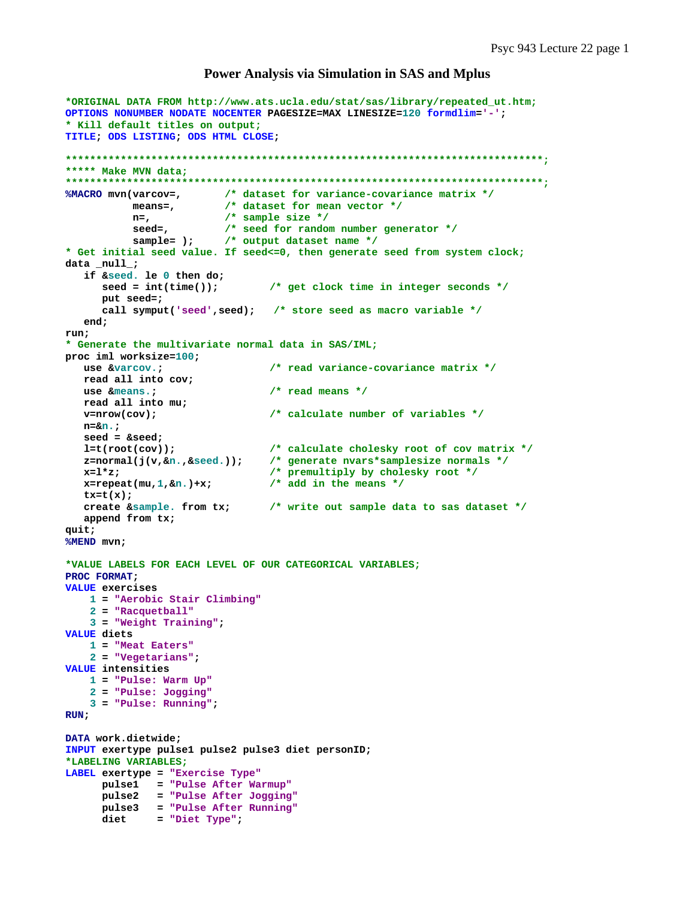## **Power Analysis via Simulation in SAS and Mplus**

```
*ORIGINAL DATA FROM http://www.ats.ucla.edu/stat/sas/library/repeated_ut.htm;
OPTIONS NONUMBER NODATE NOCENTER PAGESIZE=MAX LINESIZE=120 formdlim='-'; 
* Kill default titles on output;
TITLE; ODS LISTING; ODS HTML CLOSE; 
******************************************************************************;
***** Make MVN data;
******************************************************************************;
%MACRO mvn(varcov=, /* dataset for variance-covariance matrix */
           means=, /* dataset for mean vector */
           n=, /* sample size */
 seed=, /* seed for random number generator */
 sample= ); /* output dataset name */
* Get initial seed value. If seed<=0, then generate seed from system clock;
data _null_; 
   if &seed. le 0 then do; 
      seed = int(time()); /* get clock time in integer seconds */
      put seed=; 
      call symput('seed',seed); /* store seed as macro variable */
   end; 
run; 
* Generate the multivariate normal data in SAS/IML;
proc iml worksize=100; 
   use &varcov.; /* read variance-covariance matrix */
   read all into cov; 
   use &means.; /* read means */
   read all into mu; 
   v=nrow(cov); /* calculate number of variables */
   n=&n.; 
   seed = &seed; 
   l=t(root(cov)); /* calculate cholesky root of cov matrix */
   z=normal(j(v,&n.,&seed.)); /* generate nvars*samplesize normals */
   x=l*z; /* premultiply by cholesky root */
   x=repeat(mu,1,&n.)+x; /* add in the means */
   tx=t(x); 
   create &sample. from tx; /* write out sample data to sas dataset */
   append from tx; 
quit; 
%MEND mvn; 
*VALUE LABELS FOR EACH LEVEL OF OUR CATEGORICAL VARIABLES;
PROC FORMAT; 
VALUE exercises 
    1 = "Aerobic Stair Climbing"
    2 = "Racquetball"
    3 = "Weight Training"; 
VALUE diets 
    1 = "Meat Eaters"
    2 = "Vegetarians"; 
VALUE intensities 
    1 = "Pulse: Warm Up"
    2 = "Pulse: Jogging"
    3 = "Pulse: Running"; 
RUN; 
DATA work.dietwide; 
INPUT exertype pulse1 pulse2 pulse3 diet personID; 
*LABELING VARIABLES;
LABEL exertype = "Exercise Type"
 pulse1 = "Pulse After Warmup"
 pulse2 = "Pulse After Jogging"
      pulse3 = "Pulse After Running"
      diet = "Diet Type";
```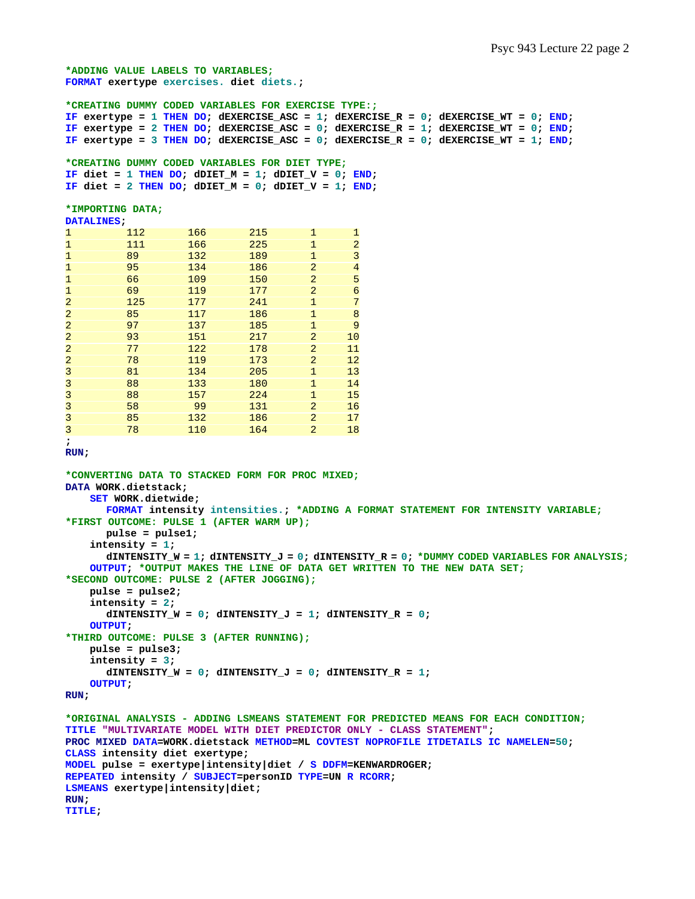```
*ADDING VALUE LABELS TO VARIABLES;
FORMAT exertype exercises. diet diets.; 
*CREATING DUMMY CODED VARIABLES FOR EXERCISE TYPE:;
IF exertype = 1 THEN DO; dEXERCISE ASC = 1; dEXERCISE R = 0; dEXERCISE WT = 0; END;
IF exertype = 2 THEN DO; dEXERCISE_ASC = 0; dEXERCISE_R = 1; dEXERCISE_WT = 0; END; 
IF exertype = 3 THEN DO; dEXERCISE ASC = 0; dEXERCISE R = 0; dEXERCISE WT = 1; END;
*CREATING DUMMY CODED VARIABLES FOR DIET TYPE;
IF diet = 1 THEN DO; dDIET_M = 1; dDIET_V = 0; END;
IF diet = 2 THEN DO; dDIET_M = 0; dDIET_V = 1; END;
*IMPORTING DATA;
DATALINES; 
1 112 166 215 1 1<br>1 111 166 225 1 2
1 111 166 225 1 2<br>1 89 132 189 1 3
1 89 132 189 1 3
1 95 134 186 2 4 
1 66 109 150 2 5 
1 69 119 177 2 6 
2 125 177 241 1 7 
2 85 117 186 1 8 
2 97 137 185 1 9 
2 93 151 217 2<br>2 77 122 178 2
2 77 122 178 2 11 
\begin{array}{ccccccc} 2 & & & 78 & & & 119 & & & 173 & & 2 & & 12 \\ 3 & & & 81 & & & 134 & & & 205 & & 1 & & 13 \end{array}3 81 134 205 1 13 
\frac{3}{2} 88 133 180 1 14
3 88 157 224 1 15<br>3 58 99 131 2 16
3 88 157 224 1<br>3 58 99 131 2 16<br>3 85 132 186 2 17
3 85 132 186 2 17 
3 78 110 164 2 18 
; 
RUN; 
*CONVERTING DATA TO STACKED FORM FOR PROC MIXED;
DATA WORK.dietstack; 
    SET WORK.dietwide; 
      FORMAT intensity intensities.; *ADDING A FORMAT STATEMENT FOR INTENSITY VARIABLE;
*FIRST OUTCOME: PULSE 1 (AFTER WARM UP);
      pulse = pulse1; 
    intensity = 1; 
       dINTENSITY_W = 1; dINTENSITY_J = 0; dINTENSITY_R = 0; *DUMMY CODED VARIABLES FOR ANALYSIS;
    OUTPUT; *OUTPUT MAKES THE LINE OF DATA GET WRITTEN TO THE NEW DATA SET;
*SECOND OUTCOME: PULSE 2 (AFTER JOGGING);
    pulse = pulse2; 
    intensity = 2; 
      dINTENSITY_W = 0; dINTENSITY_J = 1; dINTENSITY_R = 0; 
    OUTPUT; 
*THIRD OUTCOME: PULSE 3 (AFTER RUNNING);
    pulse = pulse3; 
    intensity = 3; 
      dINTENSITY_W = 0; dINTENSITY_J = 0; dINTENSITY_R = 1; 
    OUTPUT; 
RUN; 
*ORIGINAL ANALYSIS - ADDING LSMEANS STATEMENT FOR PREDICTED MEANS FOR EACH CONDITION;
TITLE "MULTIVARIATE MODEL WITH DIET PREDICTOR ONLY - CLASS STATEMENT"; 
PROC MIXED DATA=WORK.dietstack METHOD=ML COVTEST NOPROFILE ITDETAILS IC NAMELEN=50; 
CLASS intensity diet exertype; 
MODEL pulse = exertype|intensity|diet / S DDFM=KENWARDROGER; 
REPEATED intensity / SUBJECT=personID TYPE=UN R RCORR; 
LSMEANS exertype|intensity|diet; 
RUN; 
TITLE;
```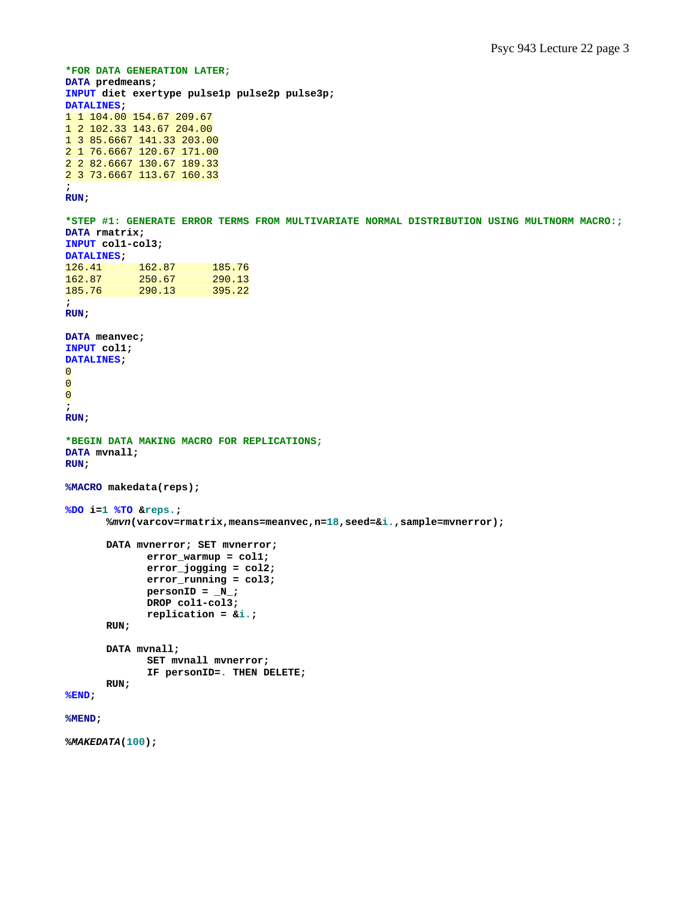```
*FOR DATA GENERATION LATER;
DATA predmeans; 
INPUT diet exertype pulse1p pulse2p pulse3p; 
DATALINES; 
1 1 104.00 154.67 209.67 
1 2 102.33 143.67 204.00 
1 3 85.6667 141.33 203.00 
2 1 76.6667 120.67 171.00 
2 2 82.6667 130.67 189.33 
2 3 73.6667 113.67 160.33 
; 
RUN; 
*STEP #1: GENERATE ERROR TERMS FROM MULTIVARIATE NORMAL DISTRIBUTION USING MULTNORM MACRO:;
DATA rmatrix; 
INPUT col1-col3; 
DATALINES; 
126.41 162.87 185.76<br>162.87 250.67 290.13
                     \frac{290.13}{395.22}185.76 290.13
; 
RUN; 
DATA meanvec; 
INPUT col1; 
DATALINES; 
\overline{O}0 
0 
; 
RUN; 
*BEGIN DATA MAKING MACRO FOR REPLICATIONS;
DATA mvnall; 
RUN; 
%MACRO makedata(reps); 
%DO i=1 %TO &reps.; 
        %mvn(varcov=rmatrix,means=meanvec,n=18,seed=&i.,sample=mvnerror); 
        DATA mvnerror; SET mvnerror; 
                error_warmup = col1; 
                error_jogging = col2; 
                error_running = col3; 
               personID = N;
                DROP col1-col3; 
                replication = &i.; 
        RUN; 
        DATA mvnall; 
                SET mvnall mvnerror; 
                IF personID=. THEN DELETE; 
        RUN; 
%END; 
%MEND; 
%MAKEDATA(100);
```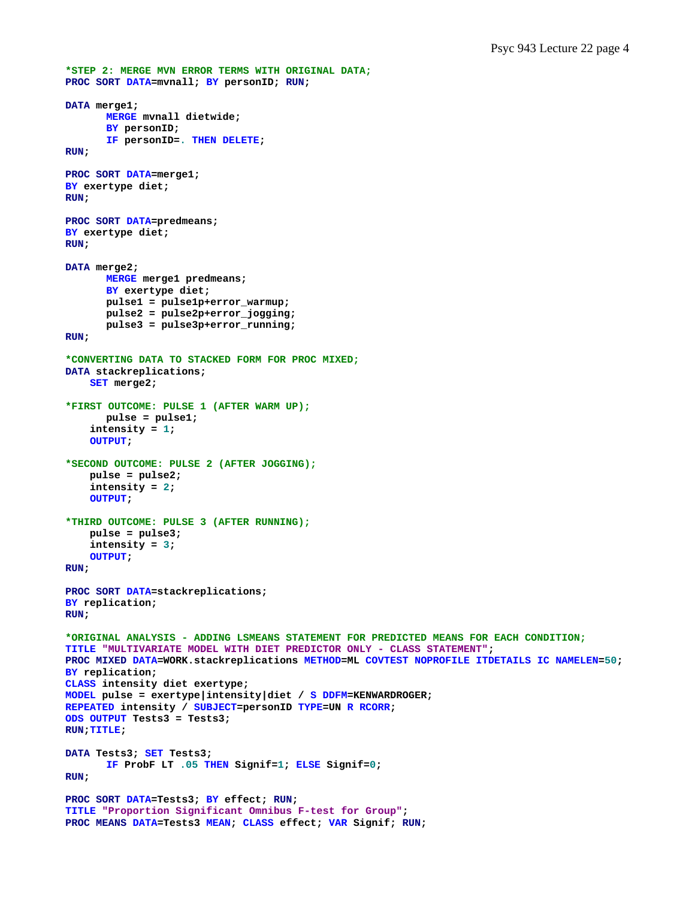```
*STEP 2: MERGE MVN ERROR TERMS WITH ORIGINAL DATA;
PROC SORT DATA=mvnall; BY personID; RUN; 
DATA merge1; 
       MERGE mvnall dietwide; 
       BY personID; 
       IF personID=. THEN DELETE; 
RUN; 
PROC SORT DATA=merge1; 
BY exertype diet; 
RUN; 
PROC SORT DATA=predmeans; 
BY exertype diet; 
RUN; 
DATA merge2; 
       MERGE merge1 predmeans; 
       BY exertype diet; 
        pulse1 = pulse1p+error_warmup; 
        pulse2 = pulse2p+error_jogging; 
        pulse3 = pulse3p+error_running; 
RUN; 
*CONVERTING DATA TO STACKED FORM FOR PROC MIXED;
DATA stackreplications; 
     SET merge2; 
*FIRST OUTCOME: PULSE 1 (AFTER WARM UP);
        pulse = pulse1; 
     intensity = 1; 
     OUTPUT; 
*SECOND OUTCOME: PULSE 2 (AFTER JOGGING);
     pulse = pulse2; 
     intensity = 2; 
     OUTPUT; 
*THIRD OUTCOME: PULSE 3 (AFTER RUNNING);
     pulse = pulse3; 
     intensity = 3; 
     OUTPUT; 
RUN; 
PROC SORT DATA=stackreplications; 
BY replication; 
RUN; 
*ORIGINAL ANALYSIS - ADDING LSMEANS STATEMENT FOR PREDICTED MEANS FOR EACH CONDITION;
TITLE "MULTIVARIATE MODEL WITH DIET PREDICTOR ONLY - CLASS STATEMENT"; 
PROC MIXED DATA=WORK.stackreplications METHOD=ML COVTEST NOPROFILE ITDETAILS IC NAMELEN=50; 
BY replication; 
CLASS intensity diet exertype; 
MODEL pulse = exertype|intensity|diet / S DDFM=KENWARDROGER; 
REPEATED intensity / SUBJECT=personID TYPE=UN R RCORR; 
ODS OUTPUT Tests3 = Tests3; 
RUN;TITLE; 
DATA Tests3; SET Tests3; 
       IF ProbF LT .05 THEN Signif=1; ELSE Signif=0; 
RUN; 
PROC SORT DATA=Tests3; BY effect; RUN; 
TITLE "Proportion Significant Omnibus F-test for Group"; 
PROC MEANS DATA=Tests3 MEAN; CLASS effect; VAR Signif; RUN;
```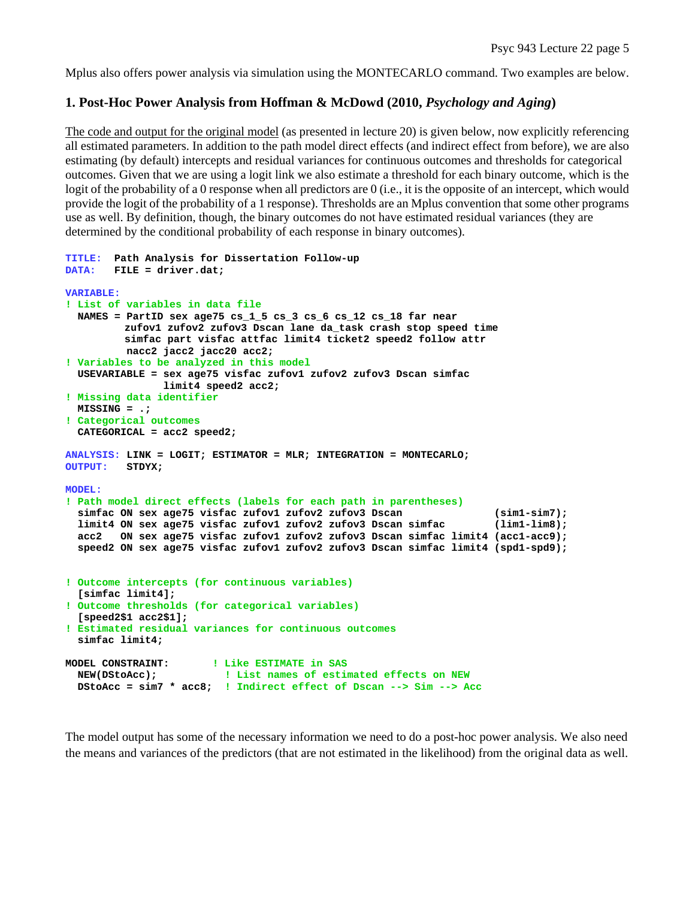Mplus also offers power analysis via simulation using the MONTECARLO command. Two examples are below.

## **1. Post-Hoc Power Analysis from Hoffman & McDowd (2010,** *Psychology and Aging***)**

The code and output for the original model (as presented in lecture 20) is given below, now explicitly referencing all estimated parameters. In addition to the path model direct effects (and indirect effect from before), we are also estimating (by default) intercepts and residual variances for continuous outcomes and thresholds for categorical outcomes. Given that we are using a logit link we also estimate a threshold for each binary outcome, which is the logit of the probability of a 0 response when all predictors are 0 (i.e., it is the opposite of an intercept, which would provide the logit of the probability of a 1 response). Thresholds are an Mplus convention that some other programs use as well. By definition, though, the binary outcomes do not have estimated residual variances (they are determined by the conditional probability of each response in binary outcomes).

```
TITLE: Path Analysis for Dissertation Follow-up 
DATA: FILE = driver.dat; 
VARIABLE: 
! List of variables in data file 
  NAMES = PartID sex age75 cs_1_5 cs_3 cs_6 cs_12 cs_18 far near 
          zufov1 zufov2 zufov3 Dscan lane da_task crash stop speed time 
          simfac part visfac attfac limit4 ticket2 speed2 follow attr 
          nacc2 jacc2 jacc20 acc2; 
! Variables to be analyzed in this model 
  USEVARIABLE = sex age75 visfac zufov1 zufov2 zufov3 Dscan simfac 
                limit4 speed2 acc2; 
! Missing data identifier 
  MISSING = .; 
! Categorical outcomes 
  CATEGORICAL = acc2 speed2; 
ANALYSIS: LINK = LOGIT; ESTIMATOR = MLR; INTEGRATION = MONTECARLO; 
OUTPUT: STDYX; 
MODEL: 
! Path model direct effects (labels for each path in parentheses) 
  simfac ON sex age75 visfac zufov1 zufov2 zufov3 Dscan (sim1-sim7); 
   limit4 ON sex age75 visfac zufov1 zufov2 zufov3 Dscan simfac (lim1-lim8); 
  acc2 ON sex age75 visfac zufov1 zufov2 zufov3 Dscan simfac limit4 (acc1-acc9); 
   speed2 ON sex age75 visfac zufov1 zufov2 zufov3 Dscan simfac limit4 (spd1-spd9); 
! Outcome intercepts (for continuous variables) 
   [simfac limit4]; 
! Outcome thresholds (for categorical variables) 
   [speed2$1 acc2$1]; 
! Estimated residual variances for continuous outcomes 
   simfac limit4; 
MODEL CONSTRAINT: ! Like ESTIMATE in SAS 
  NEW(DStoAcc); ! List names of estimated effects on NEW
  DStoAcc = sim7 * acc8; ! Indirect effect of Dscan --> Sim --> Acc
```
The model output has some of the necessary information we need to do a post-hoc power analysis. We also need the means and variances of the predictors (that are not estimated in the likelihood) from the original data as well.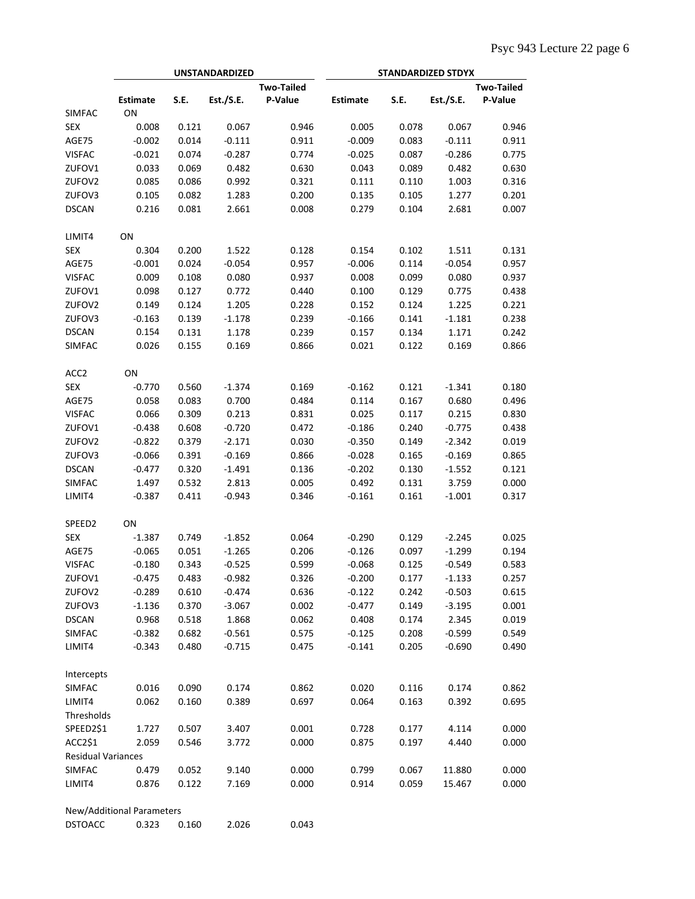|                           |                           |             | <b>UNSTANDARDIZED</b> |                   | <b>STANDARDIZED STDYX</b> |             |                   |         |  |
|---------------------------|---------------------------|-------------|-----------------------|-------------------|---------------------------|-------------|-------------------|---------|--|
|                           |                           |             |                       | <b>Two-Tailed</b> |                           |             | <b>Two-Tailed</b> |         |  |
|                           | <b>Estimate</b>           | <b>S.E.</b> | Est./S.E.             | P-Value           | <b>Estimate</b>           | <b>S.E.</b> | Est./S.E.         | P-Value |  |
| <b>SIMFAC</b>             | ON                        |             |                       |                   |                           |             |                   |         |  |
| <b>SEX</b>                | 0.008                     | 0.121       | 0.067                 | 0.946             | 0.005                     | 0.078       | 0.067             | 0.946   |  |
| AGE75                     | $-0.002$                  | 0.014       | $-0.111$              | 0.911             | $-0.009$                  | 0.083       | $-0.111$          | 0.911   |  |
| <b>VISFAC</b>             | $-0.021$                  | 0.074       | $-0.287$              | 0.774             | $-0.025$                  | 0.087       | $-0.286$          | 0.775   |  |
| ZUFOV1                    | 0.033                     | 0.069       | 0.482                 | 0.630             | 0.043                     | 0.089       | 0.482             | 0.630   |  |
| ZUFOV2                    | 0.085                     | 0.086       | 0.992                 | 0.321             | 0.111                     | 0.110       | 1.003             | 0.316   |  |
| ZUFOV3                    | 0.105                     | 0.082       | 1.283                 | 0.200             | 0.135                     | 0.105       | 1.277             | 0.201   |  |
| <b>DSCAN</b>              | 0.216                     | 0.081       | 2.661                 | 0.008             | 0.279                     | 0.104       | 2.681             | 0.007   |  |
| LIMIT4                    | ON                        |             |                       |                   |                           |             |                   |         |  |
| <b>SEX</b>                | 0.304                     | 0.200       | 1.522                 | 0.128             | 0.154                     | 0.102       | 1.511             | 0.131   |  |
| AGE75                     | $-0.001$                  | 0.024       | $-0.054$              | 0.957             | $-0.006$                  | 0.114       | $-0.054$          | 0.957   |  |
| <b>VISFAC</b>             | 0.009                     | 0.108       | 0.080                 | 0.937             | 0.008                     | 0.099       | 0.080             | 0.937   |  |
| ZUFOV1                    | 0.098                     | 0.127       | 0.772                 | 0.440             | 0.100                     | 0.129       | 0.775             | 0.438   |  |
| ZUFOV2                    | 0.149                     | 0.124       | 1.205                 | 0.228             | 0.152                     | 0.124       | 1.225             | 0.221   |  |
| ZUFOV3                    | $-0.163$                  | 0.139       | $-1.178$              | 0.239             | $-0.166$                  | 0.141       | $-1.181$          | 0.238   |  |
| <b>DSCAN</b>              | 0.154                     | 0.131       | 1.178                 | 0.239             | 0.157                     | 0.134       | 1.171             | 0.242   |  |
| SIMFAC                    | 0.026                     | 0.155       | 0.169                 | 0.866             | 0.021                     | 0.122       | 0.169             | 0.866   |  |
| ACC <sub>2</sub>          | ON                        |             |                       |                   |                           |             |                   |         |  |
| <b>SEX</b>                | $-0.770$                  | 0.560       | $-1.374$              | 0.169             | $-0.162$                  | 0.121       | $-1.341$          | 0.180   |  |
| AGE75                     | 0.058                     | 0.083       | 0.700                 | 0.484             | 0.114                     | 0.167       | 0.680             | 0.496   |  |
| <b>VISFAC</b>             | 0.066                     | 0.309       | 0.213                 | 0.831             | 0.025                     | 0.117       | 0.215             | 0.830   |  |
| ZUFOV1                    | $-0.438$                  | 0.608       | $-0.720$              | 0.472             | $-0.186$                  | 0.240       | $-0.775$          | 0.438   |  |
| ZUFOV2                    | $-0.822$                  | 0.379       | $-2.171$              | 0.030             | $-0.350$                  | 0.149       | $-2.342$          | 0.019   |  |
| ZUFOV3                    | $-0.066$                  | 0.391       | $-0.169$              | 0.866             | $-0.028$                  | 0.165       | $-0.169$          | 0.865   |  |
| <b>DSCAN</b>              | $-0.477$                  | 0.320       | $-1.491$              | 0.136             | $-0.202$                  | 0.130       | $-1.552$          | 0.121   |  |
| SIMFAC                    | 1.497                     | 0.532       | 2.813                 | 0.005             | 0.492                     | 0.131       | 3.759             | 0.000   |  |
| LIMIT4                    | $-0.387$                  | 0.411       | $-0.943$              | 0.346             | $-0.161$                  | 0.161       | $-1.001$          | 0.317   |  |
| SPEED <sub>2</sub>        | ON                        |             |                       |                   |                           |             |                   |         |  |
| <b>SEX</b>                | $-1.387$                  | 0.749       | $-1.852$              | 0.064             | $-0.290$                  | 0.129       | $-2.245$          | 0.025   |  |
|                           |                           |             |                       |                   |                           |             |                   |         |  |
| AGE75                     | $-0.065$                  | 0.051       | $-1.265$              | 0.206             | $-0.126$                  | 0.097       | $-1.299$          | 0.194   |  |
| <b>VISFAC</b>             | $-0.180$                  | 0.343       | $-0.525$              | 0.599             | $-0.068$                  | 0.125       | $-0.549$          | 0.583   |  |
| ZUFOV1                    | -0.475                    | 0.483       | -0.982                | 0.326             | -0.200                    | 0.177       | -1.133            | 0.257   |  |
| ZUFOV2                    | $-0.289$                  | 0.610       | $-0.474$              | 0.636             | $-0.122$                  | 0.242       | $-0.503$          | 0.615   |  |
| ZUFOV3                    | $-1.136$                  | 0.370       | $-3.067$              | 0.002             | $-0.477$                  | 0.149       | $-3.195$          | 0.001   |  |
| <b>DSCAN</b>              | 0.968                     | 0.518       | 1.868                 | 0.062             | 0.408                     | 0.174       | 2.345             | 0.019   |  |
| <b>SIMFAC</b>             | $-0.382$                  | 0.682       | $-0.561$              | 0.575             | $-0.125$                  | 0.208       | $-0.599$          | 0.549   |  |
| LIMIT4                    | $-0.343$                  | 0.480       | $-0.715$              | 0.475             | $-0.141$                  | 0.205       | $-0.690$          | 0.490   |  |
| Intercepts                |                           |             |                       |                   |                           |             |                   |         |  |
| <b>SIMFAC</b>             | 0.016                     | 0.090       | 0.174                 | 0.862             | 0.020                     | 0.116       | 0.174             | 0.862   |  |
| LIMIT4<br>Thresholds      | 0.062                     | 0.160       | 0.389                 | 0.697             | 0.064                     | 0.163       | 0.392             | 0.695   |  |
| SPEED2\$1                 | 1.727                     | 0.507       | 3.407                 | 0.001             | 0.728                     | 0.177       | 4.114             | 0.000   |  |
| ACC2\$1                   | 2.059                     | 0.546       | 3.772                 | 0.000             | 0.875                     | 0.197       | 4.440             | 0.000   |  |
| <b>Residual Variances</b> |                           |             |                       |                   |                           |             |                   |         |  |
| SIMFAC                    | 0.479                     | 0.052       | 9.140                 | 0.000             | 0.799                     | 0.067       | 11.880            | 0.000   |  |
| LIMIT4                    | 0.876                     | 0.122       | 7.169                 | 0.000             | 0.914                     | 0.059       | 15.467            | 0.000   |  |
|                           | New/Additional Parameters |             |                       |                   |                           |             |                   |         |  |

| <b>DSTOACC</b> | 0.323 | 0.160 | 2.026 | 0.043 |
|----------------|-------|-------|-------|-------|
|                |       |       |       |       |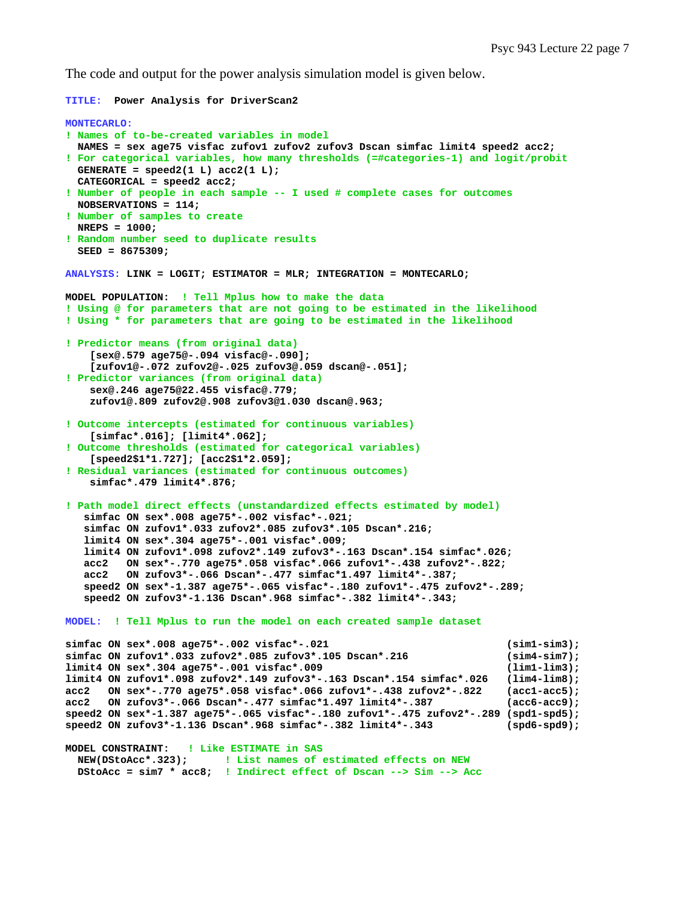The code and output for the power analysis simulation model is given below.

```
TITLE: Power Analysis for DriverScan2 
MONTECARLO: 
! Names of to-be-created variables in model 
  NAMES = sex age75 visfac zufov1 zufov2 zufov3 Dscan simfac limit4 speed2 acc2; 
! For categorical variables, how many thresholds (=#categories-1) and logit/probit 
  GENERATE = speed2(1 L) acc2(1 L); 
  CATEGORICAL = speed2 acc2; 
! Number of people in each sample -- I used # complete cases for outcomes 
  NOBSERVATIONS = 114; 
! Number of samples to create 
  NREPS = 1000; 
! Random number seed to duplicate results 
   SEED = 8675309; 
ANALYSIS: LINK = LOGIT; ESTIMATOR = MLR; INTEGRATION = MONTECARLO; 
MODEL POPULATION: ! Tell Mplus how to make the data 
! Using @ for parameters that are not going to be estimated in the likelihood 
! Using * for parameters that are going to be estimated in the likelihood 
! Predictor means (from original data) 
     [sex@.579 age75@-.094 visfac@-.090]; 
     [zufov1@-.072 zufov2@-.025 zufov3@.059 dscan@-.051]; 
! Predictor variances (from original data) 
     sex@.246 age75@22.455 visfac@.779; 
     zufov1@.809 zufov2@.908 zufov3@1.030 dscan@.963; 
! Outcome intercepts (estimated for continuous variables) 
     [simfac*.016]; [limit4*.062]; 
! Outcome thresholds (estimated for categorical variables) 
     [speed2$1*1.727]; [acc2$1*2.059]; 
! Residual variances (estimated for continuous outcomes) 
     simfac*.479 limit4*.876; 
! Path model direct effects (unstandardized effects estimated by model) 
    simfac ON sex*.008 age75*-.002 visfac*-.021; 
    simfac ON zufov1*.033 zufov2*.085 zufov3*.105 Dscan*.216; 
    limit4 ON sex*.304 age75*-.001 visfac*.009; 
    limit4 ON zufov1*.098 zufov2*.149 zufov3*-.163 Dscan*.154 simfac*.026; 
    acc2 ON sex*-.770 age75*.058 visfac*.066 zufov1*-.438 zufov2*-.822; 
    acc2 ON zufov3*-.066 Dscan*-.477 simfac*1.497 limit4*-.387; 
    speed2 ON sex*-1.387 age75*-.065 visfac*-.180 zufov1*-.475 zufov2*-.289; 
    speed2 ON zufov3*-1.136 Dscan*.968 simfac*-.382 limit4*-.343; 
MODEL: ! Tell Mplus to run the model on each created sample dataset
simfac ON sex*.008 age75*-.002 visfac*-.021 (sim1-sim3); 
simfac ON zufov1*.033 zufov2*.085 zufov3*.105 Dscan*.216 (sim4-sim7); 
limit4 ON sex*.304 age75*-.001 visfac*.009 (lim1-lim3); 
limit4 ON zufov1*.098 zufov2*.149 zufov3*-.163 Dscan*.154 simfac*.026 (lim4-lim8); 
acc2 ON sex*-.770 age75*.058 visfac*.066 zufov1*-.438 zufov2*-.822 (acc1-acc5); 
acc2 ON zufov3*-.066 Dscan*-.477 simfac*1.497 limit4*-.387 (acc6-acc9); 
speed2 ON sex*-1.387 age75*-.065 visfac*-.180 zufov1*-.475 zufov2*-.289 (spd1-spd5); 
speed2 ON zufov3*-1.136 Dscan*.968 simfac*-.382 limit4*-.343 (spd6-spd9); 
MODEL CONSTRAINT: ! Like ESTIMATE in SAS
  NEW(DStoAcc*.323); ! List names of estimated effects on NEW
  DStoAcc = sim7 * acc8; ! Indirect effect of Dscan --> Sim --> Acc
```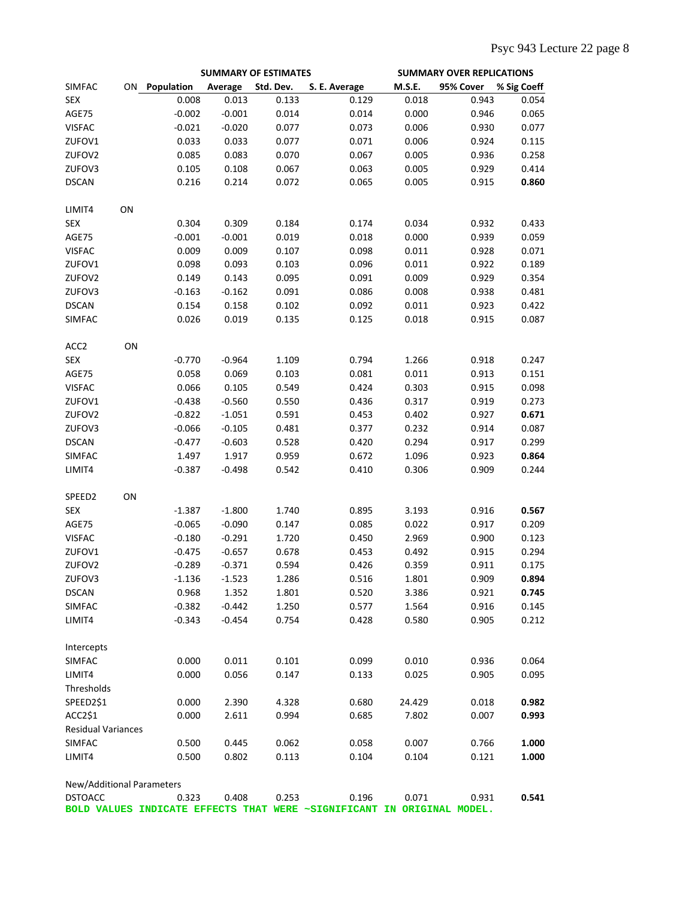|                           |    |            |          | <b>SUMMARY OF ESTIMATES</b> | <b>SUMMARY OVER REPLICATIONS</b>                                       |               |           |             |
|---------------------------|----|------------|----------|-----------------------------|------------------------------------------------------------------------|---------------|-----------|-------------|
| <b>SIMFAC</b>             | ON | Population | Average  | Std. Dev.                   | S. E. Average                                                          | <b>M.S.E.</b> | 95% Cover | % Sig Coeff |
| <b>SEX</b>                |    | 0.008      | 0.013    | 0.133                       | 0.129                                                                  | 0.018         | 0.943     | 0.054       |
| AGE75                     |    | $-0.002$   | $-0.001$ | 0.014                       | 0.014                                                                  | 0.000         | 0.946     | 0.065       |
| <b>VISFAC</b>             |    | $-0.021$   | $-0.020$ | 0.077                       | 0.073                                                                  | 0.006         | 0.930     | 0.077       |
| ZUFOV1                    |    | 0.033      | 0.033    | 0.077                       | 0.071                                                                  | 0.006         | 0.924     | 0.115       |
| ZUFOV2                    |    | 0.085      | 0.083    | 0.070                       | 0.067                                                                  | 0.005         | 0.936     | 0.258       |
| ZUFOV3                    |    | 0.105      | 0.108    | 0.067                       | 0.063                                                                  | 0.005         | 0.929     | 0.414       |
| <b>DSCAN</b>              |    | 0.216      | 0.214    | 0.072                       | 0.065                                                                  | 0.005         | 0.915     | 0.860       |
|                           |    |            |          |                             |                                                                        |               |           |             |
| LIMIT4                    | ON |            |          |                             |                                                                        |               |           |             |
| <b>SEX</b>                |    | 0.304      | 0.309    | 0.184                       | 0.174                                                                  | 0.034         | 0.932     | 0.433       |
| AGE75                     |    | $-0.001$   | $-0.001$ | 0.019                       | 0.018                                                                  | 0.000         | 0.939     | 0.059       |
| <b>VISFAC</b>             |    | 0.009      | 0.009    | 0.107                       | 0.098                                                                  | 0.011         | 0.928     | 0.071       |
| ZUFOV1                    |    | 0.098      | 0.093    | 0.103                       | 0.096                                                                  | 0.011         | 0.922     | 0.189       |
| ZUFOV2                    |    | 0.149      | 0.143    | 0.095                       | 0.091                                                                  | 0.009         | 0.929     | 0.354       |
| ZUFOV3                    |    | $-0.163$   | $-0.162$ | 0.091                       | 0.086                                                                  | 0.008         | 0.938     | 0.481       |
| <b>DSCAN</b>              |    | 0.154      | 0.158    | 0.102                       | 0.092                                                                  | 0.011         | 0.923     | 0.422       |
| <b>SIMFAC</b>             |    | 0.026      | 0.019    | 0.135                       | 0.125                                                                  | 0.018         | 0.915     | 0.087       |
|                           |    |            |          |                             |                                                                        |               |           |             |
| ACC <sub>2</sub>          | ON |            |          |                             |                                                                        |               |           |             |
| <b>SEX</b>                |    | $-0.770$   | $-0.964$ | 1.109                       | 0.794                                                                  | 1.266         | 0.918     | 0.247       |
| AGE75                     |    | 0.058      | 0.069    | 0.103                       | 0.081                                                                  | 0.011         | 0.913     | 0.151       |
| <b>VISFAC</b>             |    | 0.066      | 0.105    | 0.549                       | 0.424                                                                  | 0.303         | 0.915     | 0.098       |
| ZUFOV1                    |    | $-0.438$   | $-0.560$ | 0.550                       | 0.436                                                                  | 0.317         | 0.919     | 0.273       |
| ZUFOV2                    |    | $-0.822$   | $-1.051$ | 0.591                       | 0.453                                                                  | 0.402         | 0.927     | 0.671       |
| ZUFOV3                    |    | $-0.066$   | $-0.105$ | 0.481                       | 0.377                                                                  | 0.232         | 0.914     | 0.087       |
| <b>DSCAN</b>              |    | $-0.477$   | $-0.603$ | 0.528                       | 0.420                                                                  | 0.294         | 0.917     | 0.299       |
| <b>SIMFAC</b>             |    | 1.497      | 1.917    | 0.959                       | 0.672                                                                  | 1.096         | 0.923     | 0.864       |
|                           |    |            |          |                             |                                                                        |               |           |             |
| LIMIT4                    |    | $-0.387$   | $-0.498$ | 0.542                       | 0.410                                                                  | 0.306         | 0.909     | 0.244       |
| SPEED2                    | ON |            |          |                             |                                                                        |               |           |             |
| <b>SEX</b>                |    | $-1.387$   | $-1.800$ | 1.740                       | 0.895                                                                  | 3.193         | 0.916     | 0.567       |
| AGE75                     |    | $-0.065$   | $-0.090$ | 0.147                       | 0.085                                                                  | 0.022         | 0.917     | 0.209       |
| <b>VISFAC</b>             |    | $-0.180$   | $-0.291$ | 1.720                       | 0.450                                                                  | 2.969         | 0.900     | 0.123       |
| ZUFOV1                    |    | $-0.475$   | $-0.657$ | 0.678                       | 0.453                                                                  | 0.492         | 0.915     | 0.294       |
| ZUFOV2                    |    | $-0.289$   | $-0.371$ | 0.594                       | 0.426                                                                  | 0.359         | 0.911     | 0.175       |
| ZUFOV3                    |    | $-1.136$   | $-1.523$ | 1.286                       | 0.516                                                                  | 1.801         | 0.909     | 0.894       |
| <b>DSCAN</b>              |    | 0.968      | 1.352    | 1.801                       | 0.520                                                                  | 3.386         | 0.921     | 0.745       |
| <b>SIMFAC</b>             |    | $-0.382$   | $-0.442$ | 1.250                       | 0.577                                                                  | 1.564         | 0.916     | 0.145       |
| LIMIT4                    |    | $-0.343$   | $-0.454$ | 0.754                       | 0.428                                                                  | 0.580         | 0.905     | 0.212       |
|                           |    |            |          |                             |                                                                        |               |           |             |
| Intercepts                |    |            |          |                             |                                                                        |               |           |             |
| <b>SIMFAC</b>             |    | 0.000      | 0.011    | 0.101                       | 0.099                                                                  | 0.010         | 0.936     | 0.064       |
| LIMIT4                    |    | 0.000      | 0.056    | 0.147                       | 0.133                                                                  | 0.025         | 0.905     | 0.095       |
| Thresholds                |    |            |          |                             |                                                                        |               |           |             |
| SPEED2\$1                 |    | 0.000      | 2.390    | 4.328                       | 0.680                                                                  | 24.429        | 0.018     | 0.982       |
| ACC2\$1                   |    | 0.000      | 2.611    | 0.994                       | 0.685                                                                  | 7.802         | 0.007     | 0.993       |
| <b>Residual Variances</b> |    |            |          |                             |                                                                        |               |           |             |
| SIMFAC                    |    | 0.500      | 0.445    | 0.062                       | 0.058                                                                  | 0.007         | 0.766     | 1.000       |
| LIMIT4                    |    | 0.500      | 0.802    | 0.113                       | 0.104                                                                  | 0.104         | 0.121     | 1.000       |
|                           |    |            |          |                             |                                                                        |               |           |             |
| New/Additional Parameters |    |            |          |                             |                                                                        |               |           |             |
| <b>DSTOACC</b>            |    | 0.323      | 0.408    | 0.253                       | 0.196                                                                  | 0.071         | 0.931     | 0.541       |
|                           |    |            |          |                             | BOLD VALUES INDICATE EFFECTS THAT WERE ~SIGNIFICANT IN ORIGINAL MODEL. |               |           |             |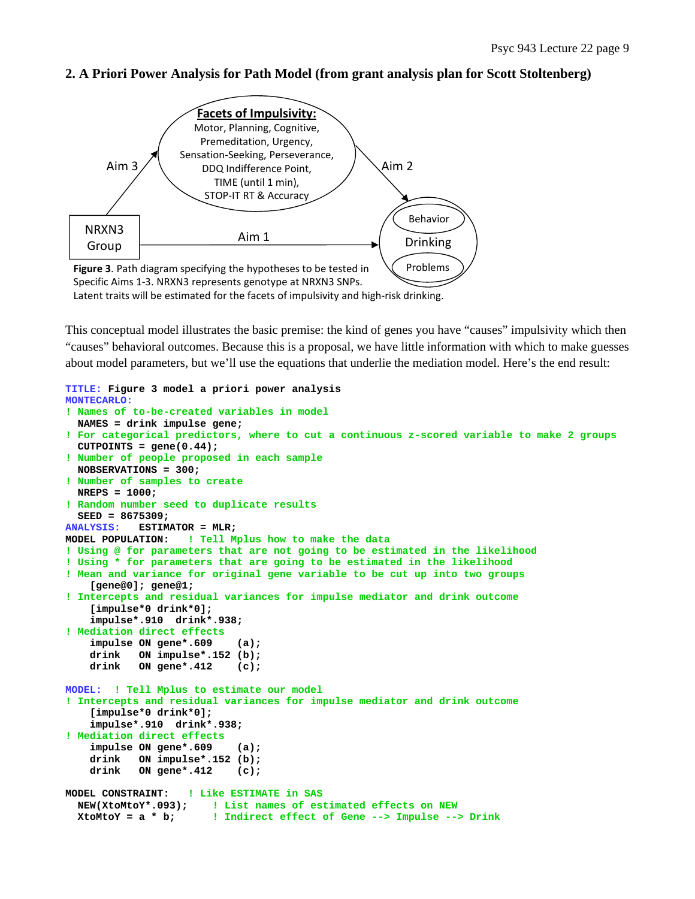

## **2. A Priori Power Analysis for Path Model (from grant analysis plan for Scott Stoltenberg)**

This conceptual model illustrates the basic premise: the kind of genes you have "causes" impulsivity which then "causes" behavioral outcomes. Because this is a proposal, we have little information with which to make guesses about model parameters, but we'll use the equations that underlie the mediation model. Here's the end result:

```
TITLE: Figure 3 model a priori power analysis 
MONTECARLO: 
! Names of to-be-created variables in model 
   NAMES = drink impulse gene; 
! For categorical predictors, where to cut a continuous z-scored variable to make 2 groups 
   CUTPOINTS = gene(0.44); 
! Number of people proposed in each sample 
   NOBSERVATIONS = 300; 
! Number of samples to create 
   NREPS = 1000; 
! Random number seed to duplicate results 
   SEED = 8675309; 
ANALYSIS: ESTIMATOR = MLR; 
MODEL POPULATION: ! Tell Mplus how to make the data 
! Using @ for parameters that are not going to be estimated in the likelihood 
! Using * for parameters that are going to be estimated in the likelihood 
! Mean and variance for original gene variable to be cut up into two groups 
     [gene@0]; gene@1; 
! Intercepts and residual variances for impulse mediator and drink outcome 
     [impulse*0 drink*0]; 
     impulse*.910 drink*.938; 
! Mediation direct effects 
     impulse ON gene*.609 (a); 
     drink ON impulse*.152 (b); 
     drink ON gene*.412 (c); 
MODEL: ! Tell Mplus to estimate our model 
! Intercepts and residual variances for impulse mediator and drink outcome 
     [impulse*0 drink*0]; 
     impulse*.910 drink*.938; 
! Mediation direct effects 
     impulse ON gene*.609 (a); 
     drink ON impulse*.152 (b); 
     drink ON gene*.412 (c); 
MODEL CONSTRAINT: ! Like ESTIMATE in SAS 
   NEW(XtoMtoY*.093); ! List names of estimated effects on NEW
   XtoMtoY = a * b; ! Indirect effect of Gene --> Impulse --> Drink
```